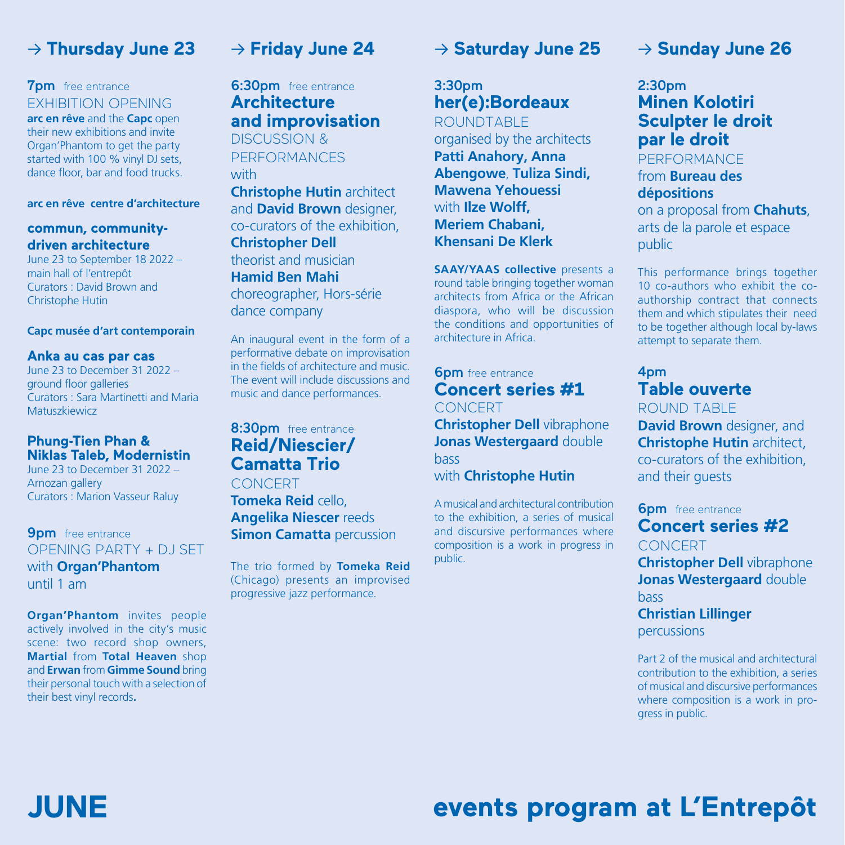### → **Thursday June 23**

#### **7pm** free entrance

EXHIBITION OPENING **arc en rêve** and the **Capc** open their new exhibitions and invite Organ'Phantom to get the party started with 100 % vinyl DJ sets, dance floor, bar and food trucks.

#### **arc en rêve centre d'architecture**

#### **commun, communitydriven architecture**

June 23 to September 18 2022 – main hall of l'entrepôt Curators : David Brown and Christophe Hutin

#### **Capc musée d'art contemporain**

#### **Anka au cas par cas**

June 23 to December 31 2022 – ground floor galleries Curators : Sara Martinetti and Maria **Matuszkiewicz** 

#### **Phung-Tien Phan & Niklas Taleb, Modernistin**

June 23 to December 31 2022 – Arnozan gallery Curators : Marion Vasseur Raluy

**9pm** free entrance OPENING PARTY + DJ SET with **Organ'Phantom**  until 1 am

**Organ'Phantom** invites people actively involved in the city's music scene: two record shop owners, **Martial** from **Total Heaven** shop and **Erwan** from **Gimme Sound** bring their personal touch with a selection of their best vinyl records**.**

**JUNE**

### → **Friday June 24**

**6:30pm** free entrance **Architecture and improvisation** DISCUSSION & PERFORMANCES

with

**Christophe Hutin** architect and **David Brown** designer, co-curators of the exhibition, **Christopher Dell**  theorist and musician **Hamid Ben Mahi** 

choreographer, Hors-série dance company

An inaugural event in the form of a performative debate on improvisation in the fields of architecture and music. The event will include discussions and music and dance performances.

### 8:30pm free entrance **Reid/Niescier/ Camatta Trio**

**CONCERT** 

**Tomeka Reid** cello, **Angelika Niescer** reeds **Simon Camatta** percussion

The trio formed by **Tomeka Reid** (Chicago) presents an improvised progressive jazz performance.

### → **Saturday June 25**

### 3:30pm **her(e):Bordeaux**

ROUNDTABLE organised by the architects **Patti Anahory, Anna Abengowe**, **Tuliza Sindi, Mawena Yehouessi**  with **Ilze Wolff, Meriem Chabani, Khensani De Klerk**

**SAAY/YAAS collective** presents a round table bringing together woman architects from Africa or the African diaspora, who will be discussion the conditions and opportunities of architecture in Africa.

**6pm** free entrance **Concert series #1 CONCERT** 

**Christopher Dell** vibraphone **Jonas Westergaard** double bass with **Christophe Hutin**

A musical and architectural contribution to the exhibition, a series of musical and discursive performances where composition is a work in progress in public.

### → **Sunday June 26**

#### 2:30pm **Minen Kolotiri Sculpter le droit par le droit**  PERFORMANCE

from **Bureau des dépositions** on a proposal from **Chahuts**, arts de la parole et espace public

This performance brings together 10 co-authors who exhibit the coauthorship contract that connects them and which stipulates their need to be together although local by-laws attempt to separate them.

### 4pm **Table ouverte**

ROUND TABLE

**David Brown** designer, and **Christophe Hutin** architect, co-curators of the exhibition, and their guests

**6pm** free entrance **Concert series #2 CONCERT Christopher Dell** vibraphone **Jonas Westergaard** double bass **Christian Lillinger**

percussions

Part 2 of the musical and architectural contribution to the exhibition, a series of musical and discursive performances where composition is a work in progress in public.

# **events program at L'Entrepôt**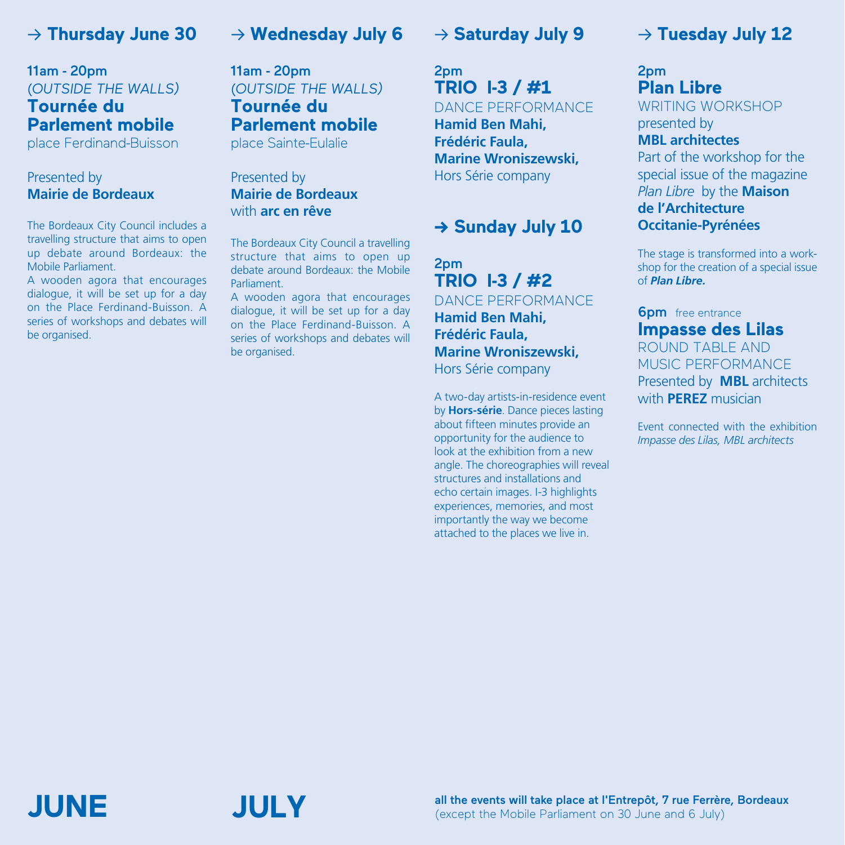### → **Thursday June 30**

### 11am - 20pm (*OUTSIDE THE WALLS)* **Tournée du Parlement mobile**

place Ferdinand-Buisson

#### Presented by **Mairie de Bordeaux**

The Bordeaux City Council includes a travelling structure that aims to open up debate around Bordeaux: the Mobile Parliament.

A wooden agora that encourages dialogue, it will be set up for a day on the Place Ferdinand-Buisson. A series of workshops and debates will be organised.

### → **Wednesday July 6**

11am - 20pm (*OUTSIDE THE WALLS)* **Tournée du Parlement mobile**  place Sainte-Eulalie

#### Presented by **Mairie de Bordeaux** with **arc en rêve**

The Bordeaux City Council a travelling structure that aims to open up debate around Bordeaux: the Mobile Parliament.

A wooden agora that encourages dialogue, it will be set up for a day on the Place Ferdinand-Buisson. A series of workshops and debates will be organised.

### → **Saturday July 9**

2pm **TRIO I-3 / #1**  DANCE PERFORMANCE

**Hamid Ben Mahi, Frédéric Faula, Marine Wroniszewski,** Hors Série company

### **→ Sunday July 10**

2pm **TRIO I-3 / #2**  DANCE PERFORMANCE **Hamid Ben Mahi, Frédéric Faula, Marine Wroniszewski,** Hors Série company

A two-day artists-in-residence event by **Hors-série**. Dance pieces lasting about fifteen minutes provide an opportunity for the audience to look at the exhibition from a new angle. The choreographies will reveal structures and installations and echo certain images. I-3 highlights experiences, memories, and most importantly the way we become attached to the places we live in.

### → **Tuesday July 12**

### 2pm **Plan Libre**  WRITING WORKSHOP presented by

**MBL architectes** Part of the workshop for the special issue of the magazine *Plan Libre* by the **Maison de l'Architecture Occitanie-Pyrénées**

The stage is transformed into a workshop for the creation of a special issue of *Plan Libre.*

#### **6pm** free entrance **Impasse des Lilas** ROUND TABLE AND MUSIC PERFORMANCE Presented by **MBL** architects with **PEREZ** musician

Event connected with the exhibition *Impasse des Lilas, MBL architects*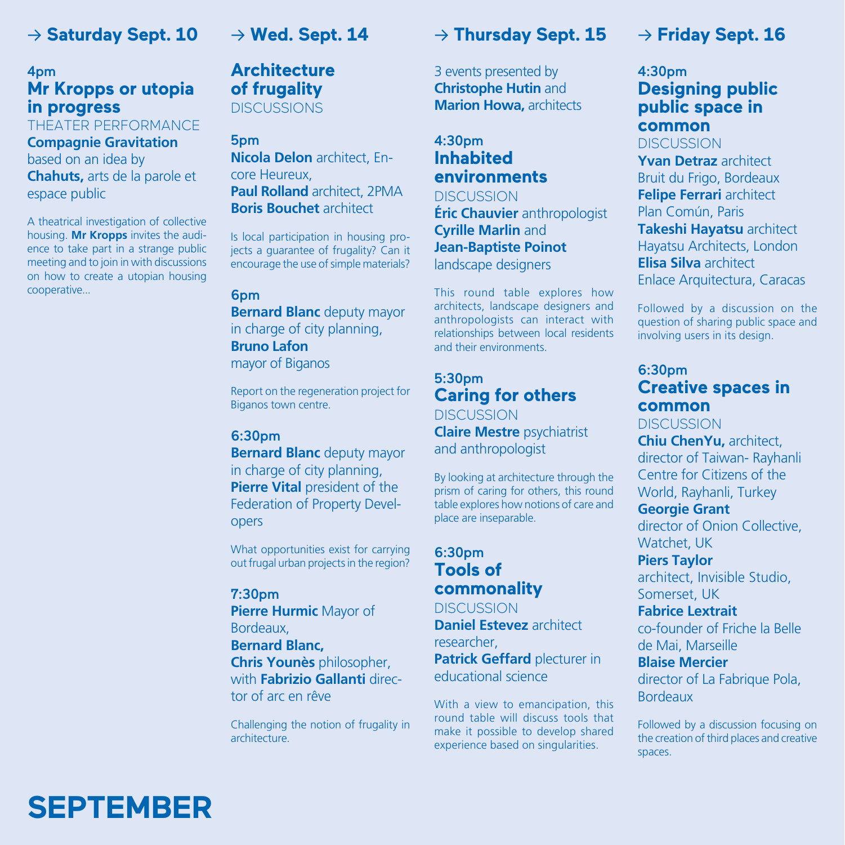### → **Saturday Sept. 10**

### 4pm **Mr Kropps or utopia in progress**

#### THEATER PERFORMANCE

**Compagnie Gravitation** based on an idea by **Chahuts,** arts de la parole et espace public

A theatrical investigation of collective housing. **Mr Kropps** invites the audience to take part in a strange public meeting and to join in with discussions on how to create a utopian housing cooperative...

### → **Wed. Sept. 14**

### **Architecture of frugality DISCUSSIONS**

### 5pm

**Nicola Delon** architect, Encore Heureux, **Paul Rolland** architect, 2PMA **Boris Bouchet** architect

Is local participation in housing projects a guarantee of frugality? Can it encourage the use of simple materials?

#### 6pm

**Bernard Blanc** deputy mayor in charge of city planning, **Bruno Lafon**  mayor of Biganos

Report on the regeneration project for Biganos town centre.

#### 6:30pm

**Bernard Blanc** deputy mayor in charge of city planning, **Pierre Vital president of the** Federation of Property Developers

What opportunities exist for carrying out frugal urban projects in the region?

#### 7:30pm

**Pierre Hurmic** Mayor of Bordeaux, **Bernard Blanc, Chris Younès** philosopher, with **Fabrizio Gallanti** director of arc en rêve

Challenging the notion of frugality in architecture.

### → **Thursday Sept. 15**

3 events presented by **Christophe Hutin** and **Marion Howa,** architects

#### 4:30pm **Inhabited environments**

**DISCUSSION Éric Chauvier** anthropologist **Cyrille Marlin** and **Jean-Baptiste Poinot**  landscape designers

This round table explores how architects, landscape designers and anthropologists can interact with relationships between local residents and their environments.

#### 5:30pm **Caring for others DISCUSSION**

**Claire Mestre** psychiatrist and anthropologist

By looking at architecture through the prism of caring for others, this round table explores how notions of care and place are inseparable.

#### 6:30pm **Tools of commonality**

**DISCUSSION Daniel Estevez** architect researcher, **Patrick Geffard** plecturer in educational science

With a view to emancipation, this round table will discuss tools that make it possible to develop shared experience based on singularities.

### → **Friday Sept. 16**

#### 4:30pm **Designing public public space in common** DISCUSSION

**Yvan Detraz** architect Bruit du Frigo, Bordeaux **Felipe Ferrari** architect Plan Común, Paris **Takeshi Hayatsu** architect Hayatsu Architects, London **Elisa Silva** architect Enlace Arquitectura, Caracas

Followed by a discussion on the question of sharing public space and involving users in its design.

### 6:30pm **Creative spaces in common**

**DISCUSSION** 

**Chiu ChenYu,** architect, director of Taiwan- Rayhanli Centre for Citizens of the World, Rayhanli, Turkey

#### **Georgie Grant**

director of Onion Collective, Watchet, UK

**Piers Taylor**  architect, Invisible Studio,

Somerset, UK

**Fabrice Lextrait**

co-founder of Friche la Belle de Mai, Marseille

**Blaise Mercier**

director of La Fabrique Pola, Bordeaux

Followed by a discussion focusing on the creation of third places and creative spaces.

# SEPTEMBER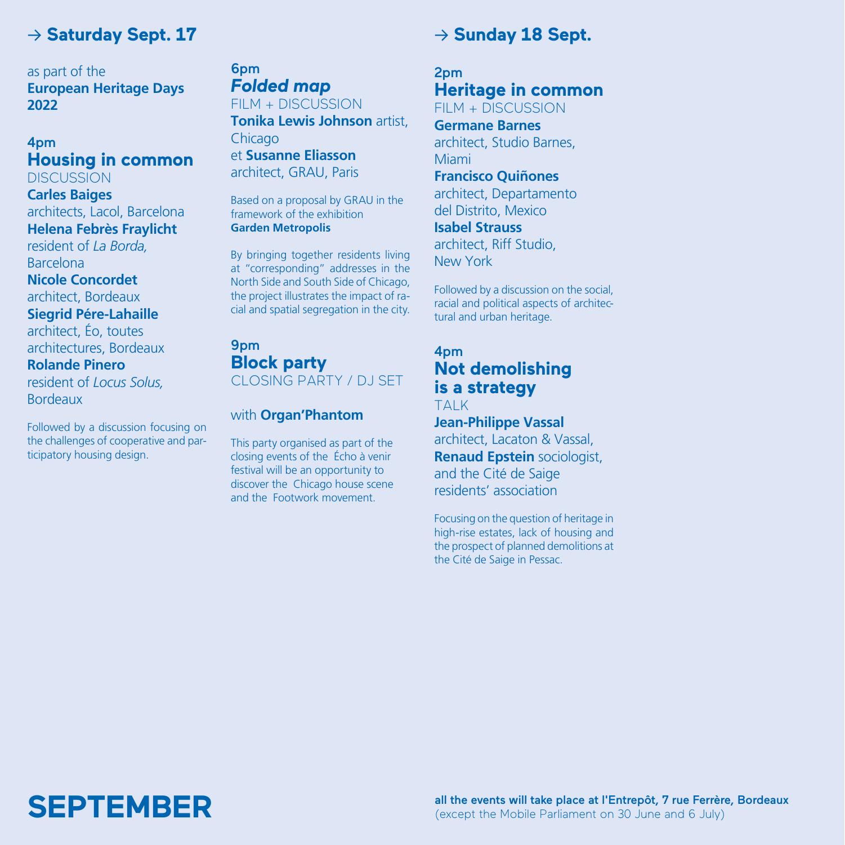### → **Saturday Sept. 17**

as part of the **European Heritage Days 2022**

#### 4pm **Housing in common DISCUSSION**

**Carles Baiges**

architects, Lacol, Barcelona **Helena Febrès Fraylicht** resident of *La Borda,* Barcelona

**Nicole Concordet**  architect, Bordeaux

**Siegrid Pére-Lahaille**  architect, Éo, toutes

architectures, Bordeaux **Rolande Pinero**

resident of *Locus Solus,*  Bordeaux

Followed by a discussion focusing on the challenges of cooperative and participatory housing design.

#### 6pm *Folded map*

FILM + DISCUSSION **Tonika Lewis Johnson** artist, Chicago et **Susanne Eliasson**  architect, GRAU, Paris

Based on a proposal by GRAU in the framework of the exhibition **Garden Metropolis** 

By bringing together residents living at "corresponding" addresses in the North Side and South Side of Chicago, the project illustrates the impact of racial and spatial segregation in the city.

#### 9pm **Block party** CLOSING PARTY / DJ SET

#### with **Organ'Phantom**

This party organised as part of the closing events of the Écho à venir festival will be an opportunity to discover the Chicago house scene and the Footwork movement.

## → **Sunday 18 Sept.**

### 2pm **Heritage in common**

FILM + DISCUSSION

**Germane Barnes** architect, Studio Barnes, Miami

**Francisco Quiñones**  architect, Departamento

del Distrito, Mexico **Isabel Strauss**

architect, Riff Studio, New York

Followed by a discussion on the social, racial and political aspects of architectural and urban heritage.

#### 4pm **Not demolishing is a strategy**  TALK

**Jean-Philippe Vassal**  architect, Lacaton & Vassal, **Renaud Epstein** sociologist, and the Cité de Saige residents' association

Focusing on the question of heritage in high-rise estates, lack of housing and the prospect of planned demolitions at the Cité de Saige in Pessac.

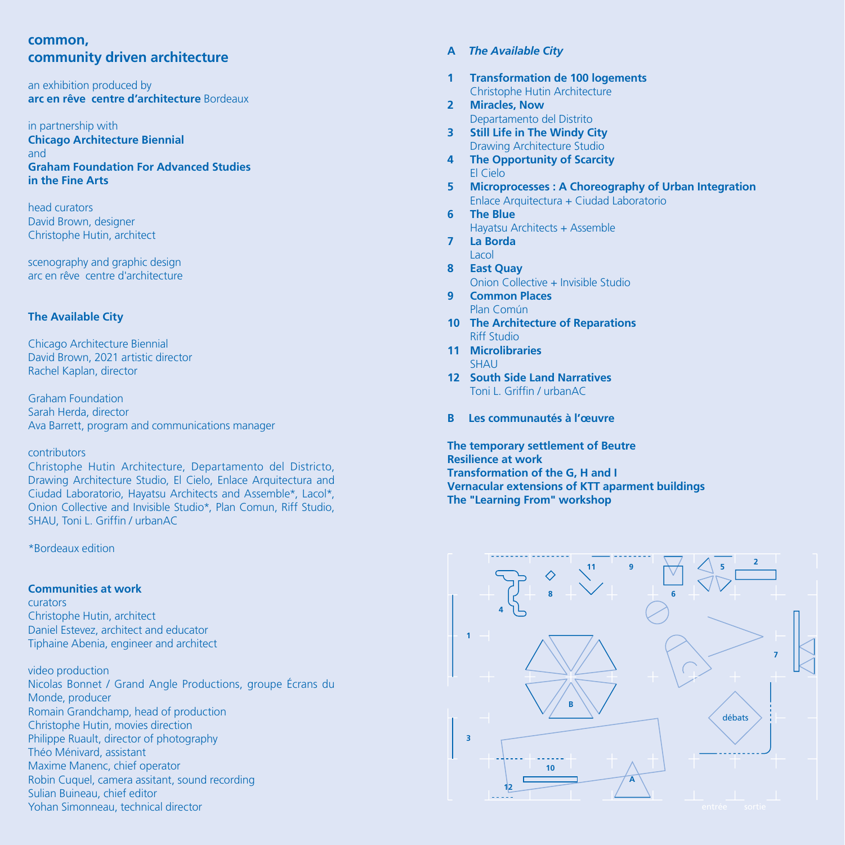#### **common, community driven architecture**

an exhibition produced by **arc en rêve centre d'architecture** Bordeaux

in partnership with **Chicago Architecture Biennial** and **Graham Foundation For Advanced Studies in the Fine Arts**

head curators David Brown, designer Christophe Hutin, architect

scenography and graphic design arc en rêve centre d'architecture

#### **The Available City**

Chicago Architecture Biennial David Brown, 2021 artistic director Rachel Kaplan, director

Graham Foundation Sarah Herda, director Ava Barrett, program and communications manager

#### contributors

Christophe Hutin Architecture, Departamento del Districto, Drawing Architecture Studio, El Cielo, Enlace Arquitectura and Ciudad Laboratorio, Hayatsu Architects and Assemble\*, Lacol\*, Onion Collective and Invisible Studio\*, Plan Comun, Riff Studio, SHAU, Toni L. Griffin / urbanAC

\*Bordeaux edition

#### **Communities at work**

curators Christophe Hutin, architect Daniel Estevez, architect and educator Tiphaine Abenia, engineer and architect

video production Nicolas Bonnet / Grand Angle Productions, groupe Écrans du Monde, producer Romain Grandchamp, head of production Christophe Hutin, movies direction Philippe Ruault, director of photography Théo Ménivard, assistant Maxime Manenc, chief operator Robin Cuquel, camera assitant, sound recording Sulian Buineau, chief editor Yohan Simonneau, technical director

#### **A** *The Available City*

- **1 Transformation de 100 logements** Christophe Hutin Architecture
- **2 Miracles, Now** Departamento del Distrito
- **3 Still Life in The Windy City** Drawing Architecture Studio
- **4 The Opportunity of Scarcity** El Cielo
- **5 Microprocesses : A Choreography of Urban Integration** Enlace Arquitectura + Ciudad Laboratorio
- **6 The Blue**
	- Hayatsu Architects + Assemble
- **7 La Borda** Lacol
- **8 East Quay** Onion Collective + Invisible Studio
- **9 Common Places** Plan Común
- **10 The Architecture of Reparations** Riff Studio
- **11 Microlibraries** SHAU
- **12 South Side Land Narratives** Toni L. Griffin / urbanAC
- **B Les communautés à l'œuvre**

**The temporary settlement of Beutre Resilience at work Transformation of the G, H and I Vernacular extensions of KTT aparment buildings The "Learning From" workshop**